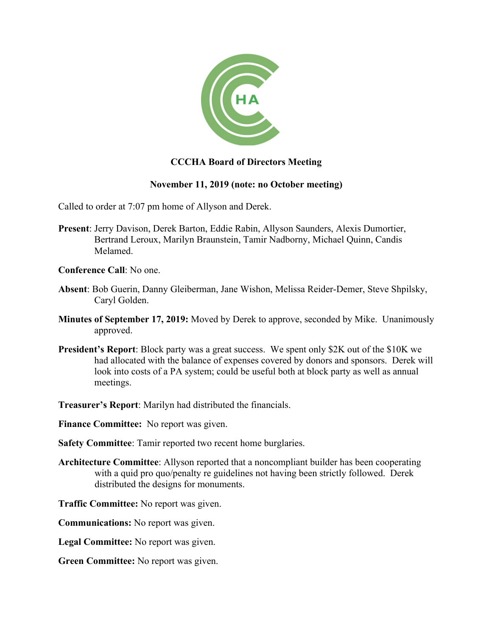

## **CCCHA Board of Directors Meeting**

## **November 11, 2019 (note: no October meeting)**

Called to order at 7:07 pm home of Allyson and Derek.

- **Present**: Jerry Davison, Derek Barton, Eddie Rabin, Allyson Saunders, Alexis Dumortier, Bertrand Leroux, Marilyn Braunstein, Tamir Nadborny, Michael Quinn, Candis Melamed.
- **Conference Call**: No one.
- **Absent**: Bob Guerin, Danny Gleiberman, Jane Wishon, Melissa Reider-Demer, Steve Shpilsky, Caryl Golden.
- **Minutes of September 17, 2019:** Moved by Derek to approve, seconded by Mike. Unanimously approved.
- **President's Report**: Block party was a great success. We spent only \$2K out of the \$10K we had allocated with the balance of expenses covered by donors and sponsors. Derek will look into costs of a PA system; could be useful both at block party as well as annual meetings.
- **Treasurer's Report**: Marilyn had distributed the financials.

**Finance Committee:** No report was given.

- **Safety Committee**: Tamir reported two recent home burglaries.
- **Architecture Committee**: Allyson reported that a noncompliant builder has been cooperating with a quid pro quo/penalty re guidelines not having been strictly followed. Derek distributed the designs for monuments.
- **Traffic Committee:** No report was given.
- **Communications:** No report was given.
- **Legal Committee:** No report was given.
- **Green Committee:** No report was given.